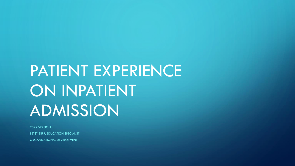# PATIENT EXPERIENCE ON INPATIENT ADMISSION

2022 VERSION BETSY DIRR, EDUCATION SPECIALIST ORGANIZATIONAL DEVELOPMENT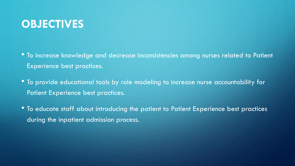#### **OBJECTIVES**

- To increase knowledge and decrease inconsistencies among nurses related to Patient Experience best practices.
- To provide educational tools by role modeling to increase nurse accountability for Patient Experience best practices.
- To educate staff about introducing the patient to Patient Experience best practices during the inpatient admission process.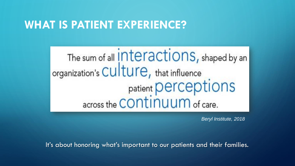#### **WHAT IS PATIENT EXPERIENCE?**

The sum of all *interactions*, shaped by an organization's Culture, that influence<br>
patient perceptions<br>
across the CONTINUUM of care.

*Beryl Institute, 2018*

It's about honoring what's important to our patients and their families.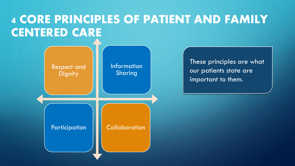## 4 CORE PRINCIPLES OF PATIENT AND FAMILY CENTERED CARE



These principles are what our patients state are important to them.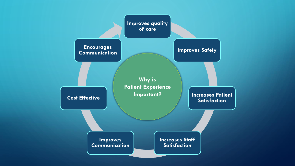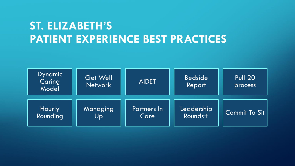## **ST. ELIZABETH'S PATIENT EXPERIENCE BEST PRACTICES**

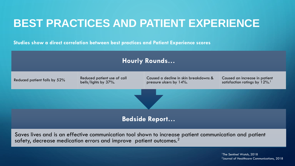## **BEST PRACTICES AND PATIENT EXPERIENCE**

**Studies show a direct correlation between best practices and Patient Experience scores**



Saves lives and is an effective communication tool shown to increase patient communication and patient safety, decrease medication errors and improve patient outcomes.<sup>2</sup>

> <sup>1</sup>The Sentinel Watch, 2018 2 Journal of Healthcare Communications, 2018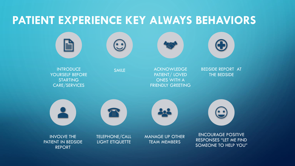#### **PATIENT EXPERIENCE KEY ALWAYS BEHAVIORS**









**INTRODUCE** YOURSELF BEFORE STARTING CARE/SERVICES

SMILE ACKNOWLEDGE PATIENT/ LOVED ONES WITH A FRIENDLY GREETING BEDSIDE REPORT AT THE BEDSIDE









INVOLVE THE PATIENT IN BEDSIDE REPORT

TELEPHONE/CALL LIGHT ETIQUETTE

MANAGE UP OTHER TEAM MEMBERS

ENCOURAGE POSITIVE RESPONSES "LET ME FIND SOMEONE TO HELP YOU"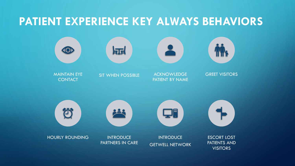#### **PATIENT EXPERIENCE KEY ALWAYS BEHAVIORS**

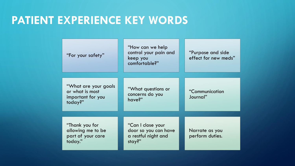#### **PATIENT EXPERIENCE KEY WORDS**

| "For your safety"                                                        | "How can we help<br>control your pain and<br>keep you<br>comfortable?"     | "Purpose and side<br>effect for new meds" |
|--------------------------------------------------------------------------|----------------------------------------------------------------------------|-------------------------------------------|
| "What are your goals"<br>or what is most<br>important for you<br>today?" | "What questions or<br>concerns do you<br>have?"                            | "Communication<br>Journal"                |
| "Thank you for<br>allowing me to be<br>part of your care<br>today."      | "Can I close your<br>door so you can have<br>a restful night and<br>stay?" | Narrate as you<br>perform duties.         |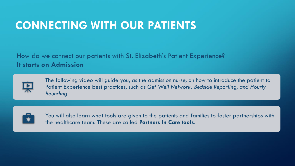#### **CONNECTING WITH OUR PATIENTS**

How do we connect our patients with St. Elizabeth's Patient Experience? **It starts on Admission**



The following video will guide you, as the admission nurse, on how to introduce the patient to Patient Experience best practices, such as *Get Well Network, Bedside Reporting, and Hourly Rounding*.



You will also learn what tools are given to the patients and families to foster partnerships with the healthcare team. These are called **Partners In Care tools**.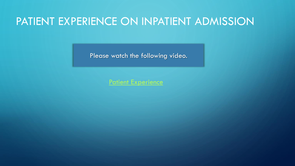#### PATIENT EXPERIENCE ON INPATIENT ADMISSION

Please watch the following video.

[Patient Experience](https://drive.google.com/file/d/16X-awzIcouZaz0usctMQdN2CCqhrujfW/view?usp=sharing)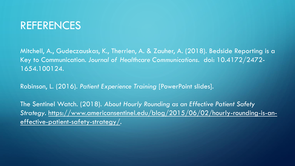#### REFERENCES

Mitchell, A., Gudeczauskas, K., Therrien, A. & Zauher, A. (2018). Bedside Reporting is a Key to Communication. *Journal of Healthcare Communications*. doi: 10.4172/2472- 1654.100124.

Robinson, L. (2016). *Patient Experience Training* [PowerPoint slides].

The Sentinel Watch. (2018). *About Hourly Rounding as an Effective Patient Safety Strategy*[. https://www.americansentinel.edu/blog/2015/06/02/hourly-rounding-is-an](https://www.americansentinel.edu/blog/2015/06/02/hourly-rounding-is-an-effective-patient-safety-strategy/)effective-patient-safety-strategy/.